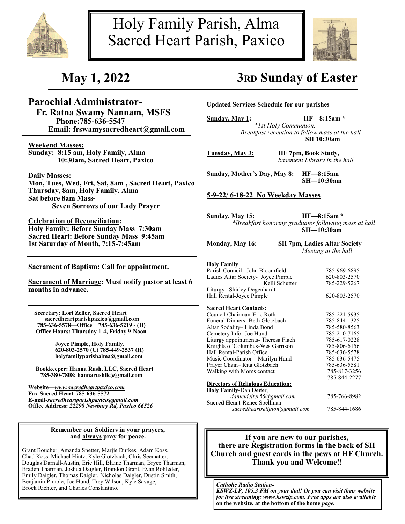



# **Parochial Administrator-**

 **Fr. Ratna Swamy Nannam, MSFS Phone:785-636-5547 Email: frswamysacredheart@gmail.com**

**Weekend Masses: Sunday: 8:15 am, Holy Family, Alma 10:30am, Sacred Heart, Paxico**

**Daily Masses:**

**Mon, Tues, Wed, Fri, Sat, 8am , Sacred Heart, Paxico Thursday, 8am, Holy Family, Alma Sat before 8am Mass-Seven Sorrows of our Lady Prayer**

**Celebration of Reconciliation: Holy Family: Before Sunday Mass 7:30am Sacred Heart: Before Sunday Mass 9:45am 1st Saturday of Month, 7:15-7:45am** 

**Sacrament of Baptism: Call for appointment.**

**Sacrament of Marriage: Must notify pastor at least 6 months in advance.**

 **Secretary: Lori Zeller, Sacred Heart sacredheartparishpaxico@gmail.com 785-636-5578—Office 785-636-5219 - (H) Office Hours: Thursday 1-4, Friday 9-Noon**

> **Joyce Pimple, Holy Family, 620-803-2570 (C) 785-449-2537 (H) holyfamilyparishalma@gmail.com**

 **Bookkeeper: Hanna Rush, LLC, Sacred Heart 785-380-7808; hannarushllc@gmail.com**

**Website—***www.sacredheartpaxico.com* **Fax-Sacred Heart-785-636-5572 E-mail-***sacredheartparishpaxico@gmail.com* **Office Address:** *22298 Newbury Rd, Paxico 66526*

#### **Remember our Soldiers in your prayers, and always pray for peace.**

Grant Boucher, Amanda Spetter, Marjie Durkes, Adam Koss, Chad Koss, Michael Hintz, Kyle Glotzbach, Chris Seematter, Douglas Darnall-Austin, Eric Hill, Blaine Tharman, Bryce Tharman, Braden Tharman, Joshua Daigler, Brandon Grant, Evan Rohleder, Emily Daigler, Thomas Daigler, Nicholas Daigler, Dustin Smith, Benjamin Pimple, Joe Hund, Trey Wilson, Kyle Savage, Brock Richter, and Charles Constantino.<br>Brock Richter, and Charles Constantino.

# **May 1, 2022 3RD Sunday of Easter**

**Updated Services Schedule for our parishes**

**Sunday, May 1: HF—8:15am \***

*\*1st Holy Communion, Breakfast reception to follow mass at the hall* **SH 10:30am**

**Tuesday, May 3: HF 7pm, Book Study,** *basement Library in the hall* 

**Sunday, Mother's Day, May 8: HF—8:15am**

**SH—10:30am**

**5-9-22/ 6-18-22 No Weekday Masses**

**Sunday, May 15: HF—8:15am \*** *\*Breakfast honoring graduates following mass at hall* **SH—10:30am**

**Monday, May 16: SH 7pm, Ladies Altar Society** *Meeting at the hall*

**Holy Family** Parish Council– John Bloomfield 785-969-6895 Ladies Altar Society- Joyce Pimple 620-803-2570<br>Kelli Schutter 785-229-5267 Kelli Schutter Liturgy– Shirley Degenhardt Hall Rental-Joyce Pimple 620-803-2570

#### **Sacred Heart Contacts:**

| Council Chairman-Eric Roth               | 785-221-5935 |
|------------------------------------------|--------------|
| Funeral Dinners- Beth Glotzbach          | 785-844-1325 |
| Altar Sodality-Linda Bond                | 785-580-8563 |
| Cemetery Info- Joe Hund                  | 785-210-7165 |
| Liturgy appointments- Theresa Flach      | 785-617-0228 |
| Knights of Columbus-Wes Garrison         | 785-806-6156 |
| Hall Rental-Parish Office                | 785-636-5578 |
| Music Coordinator—Marilyn Hund           | 785-636-5475 |
| Prayer Chain-Rita Glotzbach              | 785-636-5581 |
| Walking with Moms contact                | 785-817-3256 |
|                                          | 785-844-2277 |
| <b>Directors of Religious Education:</b> |              |
| Holy Family-Dan Deiter,                  |              |
| danieldeiter56@gmail.com                 | 785-766-8982 |
| Sacred Heart-Renee Spellman              |              |
| sacredheartreligion@gmail.com            | 785-844-1686 |

### **If you are new to our parishes, there are Registration forms in the back of SH Church and guest cards in the pews at HF Church. Thank you and Welcome!!**

*KSWZ-LP, 105.3 FM on your dial! Or you can visit their website for live streaming: www.kswzlp.com. Free apps are also available*  **on the website, at the bottom of the home** *page.*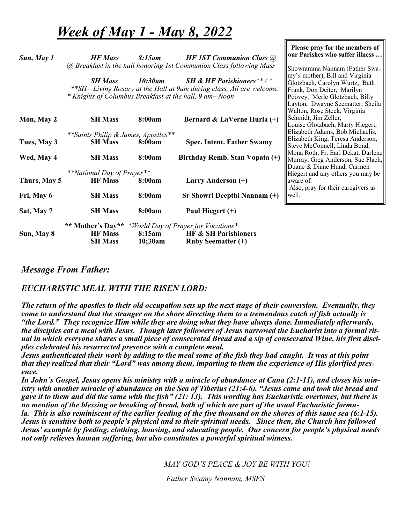# *Week of May 1 - May 8, 2022*

*Sun, May 1 HF Mass 8:15am HF 1ST Communion Class @ @ Breakfast in the hall honoring 1st Communion Class following Mass*

 **Please pray for the members of our Parishes who suffer illness …**

Showramma Nannam (Father Swamy's mother), Bill and Virginia Glotzbach, Carolyn Wurtz, Beth Frank, Don Deiter, Marilyn Poovey, Merle Glotzbach, Billy Layton, Dwayne Seematter, Sheila Walton, Rose Steck, Virginia

*SH Mass 10:30am SH & HF Parishioners\*\* / \* \*\*SH—Living Rosary at the Hall at 9am during class, All are welcome. \* Knights of Columbus Breakfast at the hall, 9 am– Noon*

| Mon, May 2                             | <b>SH Mass</b>                       | 8:00am                             | Bernard & LaVerne Hurla (+)                                    | Schmidt, Jim Zeller,               |
|----------------------------------------|--------------------------------------|------------------------------------|----------------------------------------------------------------|------------------------------------|
|                                        |                                      |                                    |                                                                | Louise Glotzbach, Marty Hiegert,   |
|                                        | ** Saints Philip & James, Apostles** |                                    |                                                                | Elizabeth Adams, Bob Michaelis,    |
| Tues, May 3                            | <b>SH Mass</b>                       | 8:00am                             | <b>Spec. Intent. Father Swamy</b>                              | Elizabeth King, Teresa Anderson,   |
|                                        |                                      |                                    |                                                                | Steve McConnell, Linda Bond,       |
| Wed, May 4<br>8:00am<br><b>SH Mass</b> | Birthday Remb. Stan Vopata (+)       | Mona Roth, Fr. Earl Dekat, Darlene |                                                                |                                    |
|                                        |                                      |                                    |                                                                | Murray, Greg Anderson, Sue Flach,  |
|                                        |                                      |                                    |                                                                | Duane & Diane Hund, Carmen         |
|                                        | <i>**National Day of Prayer**</i>    |                                    |                                                                | Hiegert and any others you may be  |
| Thurs, May 5                           | <b>HF</b> Mass                       | 8:00am                             | Larry Anderson (+)                                             | laware of.                         |
|                                        |                                      |                                    |                                                                | Also, pray for their caregivers as |
| Fri, May 6                             | <b>SH Mass</b>                       | 8:00am                             | Sr Showri Deepthi Nannam (+)                                   | ∥well.                             |
|                                        |                                      |                                    |                                                                |                                    |
| Sat, May 7                             | <b>SH Mass</b>                       | 8:00am                             | Paul Hiegert $(+)$                                             |                                    |
|                                        |                                      |                                    | ** Mother's Day** * <i>World Day of Prayer for Vocations</i> * |                                    |
| Sun, May 8                             | <b>HF Mass</b>                       | 8:15am                             | <b>HF &amp; SH Parishioners</b>                                |                                    |
|                                        | <b>SH Mass</b>                       | $10;30$ am                         | <b>Ruby Seematter (+)</b>                                      |                                    |

# *Message From Father:*

# *EUCHARISTIC MEAL WITH THE RISEN LORD:*

*The return of the apostles to their old occupation sets up the next stage of their conversion. Eventually, they come to understand that the stranger on the shore directing them to a tremendous catch of fish actually is "the Lord." They recognize Him while they are doing what they have always done. Immediately afterwards, the disciples eat a meal with Jesus. Though later followers of Jesus narrowed the Eucharist into a formal rit*ual in which everyone shares a small piece of consecrated Bread and a sip of consecrated Wine, his first disci*ples celebrated his resurrected presence with a complete meal.* 

*Jesus authenticated their work by adding to the meal some of the fish they had caught. It was at this point that they realized that their "Lord" was among them, imparting to them the experience of His glorified presence.* 

*In John's Gospel, Jesus opens his ministry with a miracle of abundance at Cana (2:1-11), and closes his ministry with another miracle of abundance on the Sea of Tiberius (21:4-6). "Jesus came and took the bread and gave it to them and did the same with the fish" (21: 13). This wording has Eucharistic overtones, but there is no mention of the blessing or breaking of bread, both of which are part of the usual Eucharistic formula. This is also reminiscent of the earlier feeding of the five thousand on the shores of this same sea (6:1-15). Jesus is sensitive both to people's physical and to their spiritual needs. Since then, the Church has followed Jesus' example by feeding, clothing, housing, and educating people. Our concern for people's physical needs not only relieves human suffering, but also constitutes a powerful spiritual witness.*

*MAY GOD'S PEACE & JOY BE WITH YOU!*

*Father Swamy Nannam, MSFS*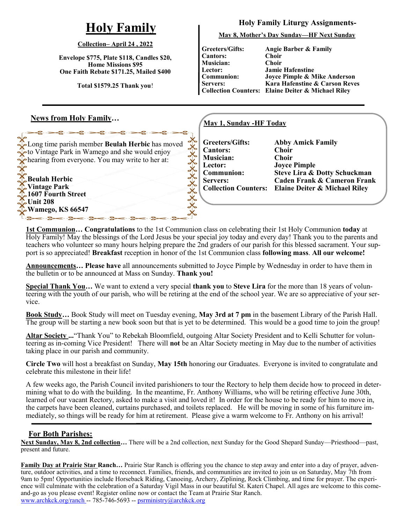# **Holy Family**

#### **Collection– April 24 , 2022**

**Envelope \$775, Plate \$118, Candles \$20, Home Missions \$95 One Faith Rebate \$171.25, Mailed \$400**

**Total \$1579.25 Thank you**!

Long time parish member **Beulah Herbic** has moved to Vintage Park in Wamego and she would enjoy hearing from everyone. You may write to her at:

### **News from Holy Family…**

**Beulah Herbic Vintage Park 1607 Fourth Street**

**Wamego, KS 66547** 

 $-36 - 36 - 3$ 

**Unit 208**

**Holy Family Liturgy Assignments-**

**May 8, Mother's Day Sunday—HF Next Sunday**

**Greeters/Gifts: Cantors: Musician: Lector: Communion: Servers:**

**Collection Counters: Elaine Deiter & Michael Riley Angie Barber & Family Choir Choir Jamie Hafenstine Joyce Pimple & Mike Anderson Kara Hafenstine & Carson Reves** 

### **May 1, Sunday -HF Today**

**Greeters/Gifts: Cantors: Musician: Lector: Communion: Servers: Collection Counters:**

**Abby Amick Family Choir Choir Joyce Pimple Steve Lira & Dotty Schuckman Caden Frank & Cameron Frank Elaine Deiter & Michael Riley**

**1st Communion… Congratulations** to the 1st Communion class on celebrating their 1st Holy Communion **today** at Holy Family! May the blessings of the Lord Jesus be your special joy today and every day! Thank you to the parents and teachers who volunteer so many hours helping prepare the 2nd graders of our parish for this blessed sacrament. Your support is so appreciated! **Breakfast** reception in honor of the 1st Communion class **following mass**. **All our welcome!** 

XXXXXXXXX

**Announcements… Please have** all announcements submitted to Joyce Pimple by Wednesday in order to have them in the bulletin or to be announced at Mass on Sunday. **Thank you!**

**Special Thank You…** We want to extend a very special **thank you** to **Steve Lira** for the more than 18 years of volunteering with the youth of our parish, who will be retiring at the end of the school year. We are so appreciative of your service.

**Book Study…** Book Study will meet on Tuesday evening, **May 3rd at 7 pm** in the basement Library of the Parish Hall. The group will be starting a new book soon but that is yet to be determined. This would be a good time to join the group!

**Altar Society ...**"Thank You" to Rebekah Bloomfield, outgoing Altar Society President and to Kelli Schutter for volunteering as in-coming Vice President! There will **not** be an Altar Society meeting in May due to the number of activities taking place in our parish and community.

**Circle Two** will host a breakfast on Sunday, **May 15th** honoring our Graduates. Everyone is invited to congratulate and celebrate this milestone in their life!

A few weeks ago, the Parish Council invited parishioners to tour the Rectory to help them decide how to proceed in determining what to do with the building. In the meantime, Fr. Anthony Williams, who will be retiring effective June 30th, learned of our vacant Rectory, asked to make a visit and loved it! In order for the house to be ready for him to move in, the carpets have been cleaned, curtains purchased, and toilets replaced. He will be moving in some of his furniture immediately, so things will be ready for him at retirement. Please give a warm welcome to Fr. Anthony on his arrival!

### **For Both Parishes:**

**Next Sunday, May 8, 2nd collection…** There will be a 2nd collection, next Sunday for the Good Shepard Sunday—Priesthood—past, present and future.

**Family Day at Prairie Star Ranch…** Prairie Star Ranch is offering you the chance to step away and enter into a day of prayer, adventure, outdoor activities, and a time to reconnect. Families, friends, and communities are invited to join us on Saturday, May 7th from 9am to 5pm! Opportunities include Horseback Riding, Canoeing, Archery, Ziplining, Rock Climbing, and time for prayer. The experience will culminate with the celebration of a Saturday Vigil Mass in our beautiful St. Kateri Chapel. All ages are welcome to this comeand-go as you please event! Register online now or contact the Team at Prairie Star Ranch. www.archkck.org/ranch -- 785-746-5693 -- psrministry@archkck.org